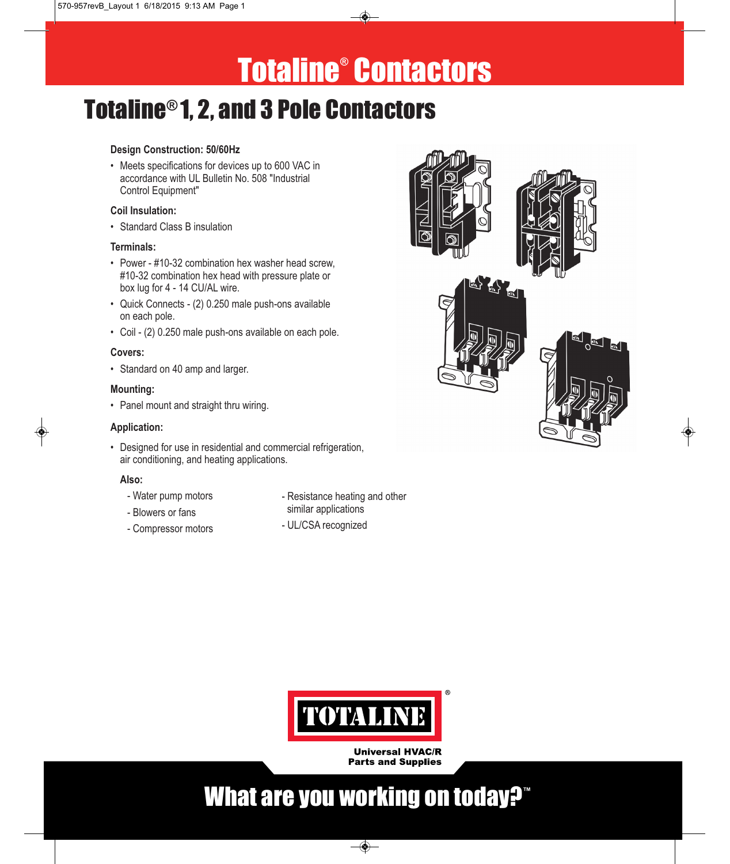# Totaline® Contactors

## Totaline® 1, 2, and 3 Pole Contactors

• Meets specifications for devices up to 600 VAC in accordance with UL Bulletin No. 508 "Industrial Control Equipment"

## **Coil Insulation:**

**Coil Insulation:** • Standard Class B insulation

### Terminals:

- **Terminals:** Power #10-32 combination hex washer head screw, #10-32 combination hex head with pressure plate or box lug for 4 - 14 CU/AL wire.
- Quick Connects (2) 0.250 male push-ons available on each pole.
- Coil (2) 0.250 male push-ons available on each pole.

## Covers:

**Covers:** • Standard on 40 amp and larger.

• Panel mount and straight thru wiring.

**Application:** • Designed for use in residential and commercial refrigeration, air conditioning, and heating applications.

### Also:

- **Also:** Water pump motors
- Blowers or fans
- Compressor motors
- Resistance heating and other similar applications
- UL/CSA recognized





**Universal HVAC/R Parts and Supplies** 

## What are you working on today?**™**